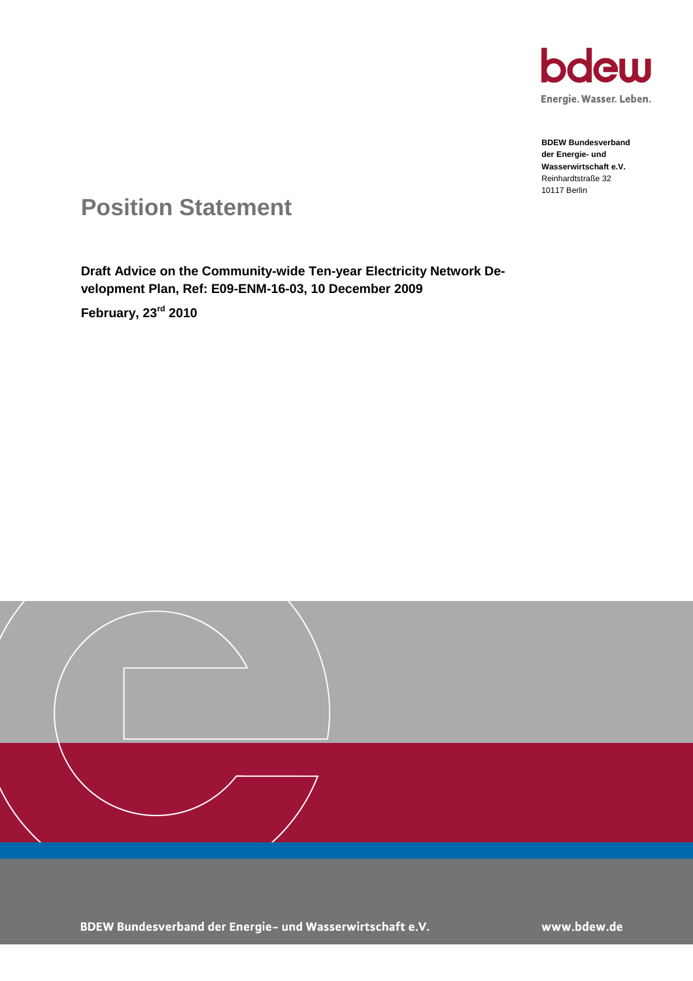

Energie. Wasser. Leben.

**BDEW Bundesverband der Energie- und Wasserwirtschaft e.V.** Reinhardtstraße 32 10117 Berlin

# **Position Statement**

**Draft Advice on the Community-wide Ten-year Electricity Network Development Plan, Ref: E09-ENM-16-03, 10 December 2009**

**February, 23rd 2010**



www.bdew.de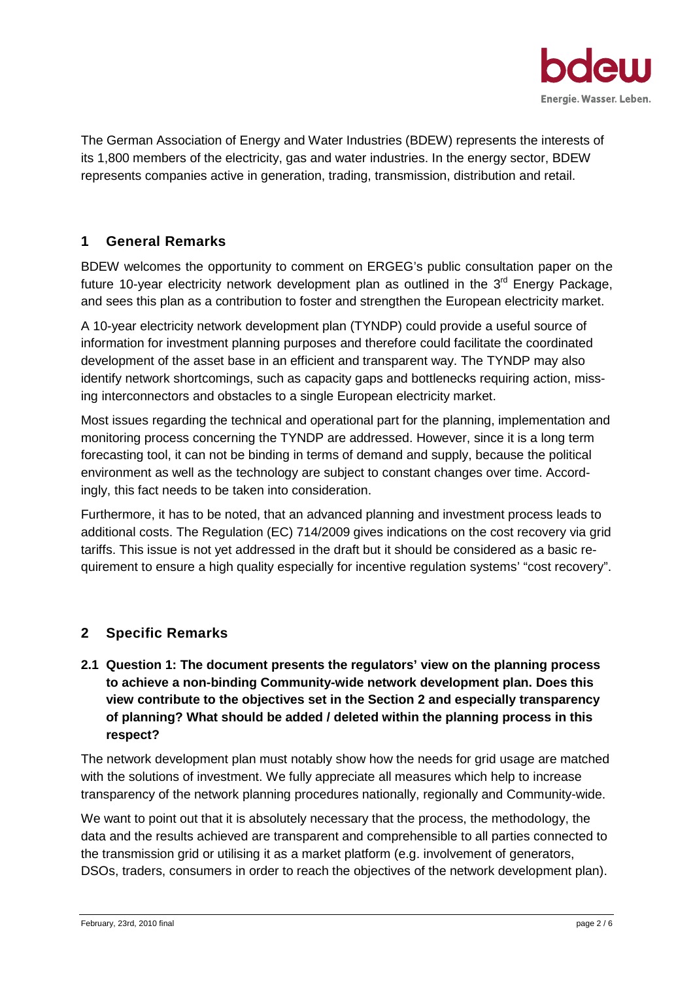

The German Association of Energy and Water Industries (BDEW) represents the interests of its 1,800 members of the electricity, gas and water industries. In the energy sector, BDEW represents companies active in generation, trading, transmission, distribution and retail.

## **1 General Remarks**

BDEW welcomes the opportunity to comment on ERGEG's public consultation paper on the future 10-year electricity network development plan as outlined in the  $3<sup>rd</sup>$  Energy Package, and sees this plan as a contribution to foster and strengthen the European electricity market.

A 10-year electricity network development plan (TYNDP) could provide a useful source of information for investment planning purposes and therefore could facilitate the coordinated development of the asset base in an efficient and transparent way. The TYNDP may also identify network shortcomings, such as capacity gaps and bottlenecks requiring action, missing interconnectors and obstacles to a single European electricity market.

Most issues regarding the technical and operational part for the planning, implementation and monitoring process concerning the TYNDP are addressed. However, since it is a long term forecasting tool, it can not be binding in terms of demand and supply, because the political environment as well as the technology are subject to constant changes over time. Accordingly, this fact needs to be taken into consideration.

Furthermore, it has to be noted, that an advanced planning and investment process leads to additional costs. The Regulation (EC) 714/2009 gives indications on the cost recovery via grid tariffs. This issue is not yet addressed in the draft but it should be considered as a basic requirement to ensure a high quality especially for incentive regulation systems' "cost recovery".

#### **2 Specific Remarks**

**2.1 Question 1: The document presents the regulators' view on the planning process to achieve a non-binding Community-wide network development plan. Does this view contribute to the objectives set in the Section 2 and especially transparency of planning? What should be added / deleted within the planning process in this respect?**

The network development plan must notably show how the needs for grid usage are matched with the solutions of investment. We fully appreciate all measures which help to increase transparency of the network planning procedures nationally, regionally and Community-wide.

We want to point out that it is absolutely necessary that the process, the methodology, the data and the results achieved are transparent and comprehensible to all parties connected to the transmission grid or utilising it as a market platform (e.g. involvement of generators, DSOs, traders, consumers in order to reach the objectives of the network development plan).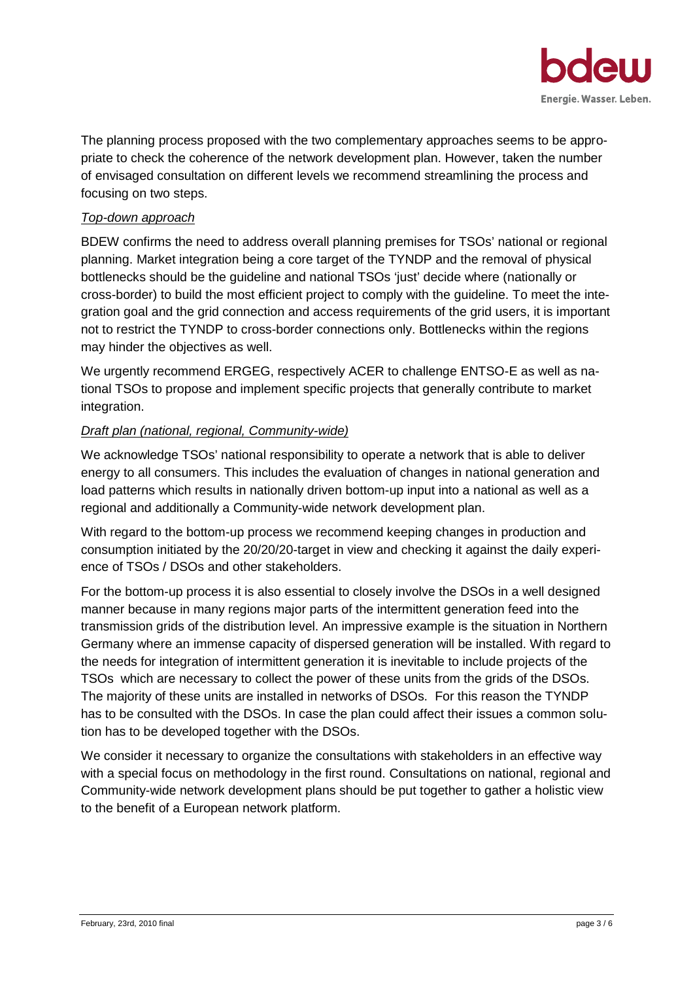

The planning process proposed with the two complementary approaches seems to be appropriate to check the coherence of the network development plan. However, taken the number of envisaged consultation on different levels we recommend streamlining the process and focusing on two steps.

#### *Top-down approach*

BDEW confirms the need to address overall planning premises for TSOs' national or regional planning. Market integration being a core target of the TYNDP and the removal of physical bottlenecks should be the guideline and national TSOs 'just' decide where (nationally or cross-border) to build the most efficient project to comply with the guideline. To meet the integration goal and the grid connection and access requirements of the grid users, it is important not to restrict the TYNDP to cross-border connections only. Bottlenecks within the regions may hinder the objectives as well.

We urgently recommend ERGEG, respectively ACER to challenge ENTSO-E as well as national TSOs to propose and implement specific projects that generally contribute to market integration.

#### *Draft plan (national, regional, Community-wide)*

We acknowledge TSOs' national responsibility to operate a network that is able to deliver energy to all consumers. This includes the evaluation of changes in national generation and load patterns which results in nationally driven bottom-up input into a national as well as a regional and additionally a Community-wide network development plan.

With regard to the bottom-up process we recommend keeping changes in production and consumption initiated by the 20/20/20-target in view and checking it against the daily experience of TSOs / DSOs and other stakeholders.

For the bottom-up process it is also essential to closely involve the DSOs in a well designed manner because in many regions major parts of the intermittent generation feed into the transmission grids of the distribution level. An impressive example is the situation in Northern Germany where an immense capacity of dispersed generation will be installed. With regard to the needs for integration of intermittent generation it is inevitable to include projects of the TSOs which are necessary to collect the power of these units from the grids of the DSOs. The majority of these units are installed in networks of DSOs. For this reason the TYNDP has to be consulted with the DSOs. In case the plan could affect their issues a common solution has to be developed together with the DSOs.

We consider it necessary to organize the consultations with stakeholders in an effective way with a special focus on methodology in the first round. Consultations on national, regional and Community-wide network development plans should be put together to gather a holistic view to the benefit of a European network platform.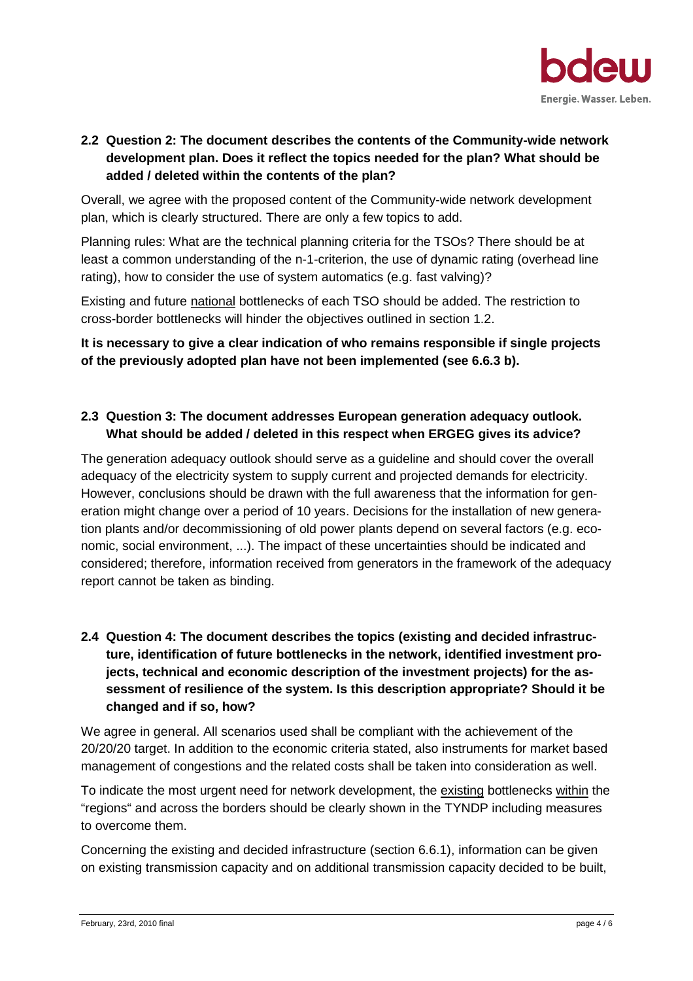

# **2.2 Question 2: The document describes the contents of the Community-wide network development plan. Does it reflect the topics needed for the plan? What should be added / deleted within the contents of the plan?**

Overall, we agree with the proposed content of the Community-wide network development plan, which is clearly structured. There are only a few topics to add.

Planning rules: What are the technical planning criteria for the TSOs? There should be at least a common understanding of the n-1-criterion, the use of dynamic rating (overhead line rating), how to consider the use of system automatics (e.g. fast valving)?

Existing and future national bottlenecks of each TSO should be added. The restriction to cross-border bottlenecks will hinder the objectives outlined in section 1.2.

**It is necessary to give a clear indication of who remains responsible if single projects of the previously adopted plan have not been implemented (see 6.6.3 b).**

#### **2.3 Question 3: The document addresses European generation adequacy outlook. What should be added / deleted in this respect when ERGEG gives its advice?**

The generation adequacy outlook should serve as a guideline and should cover the overall adequacy of the electricity system to supply current and projected demands for electricity. However, conclusions should be drawn with the full awareness that the information for generation might change over a period of 10 years. Decisions for the installation of new generation plants and/or decommissioning of old power plants depend on several factors (e.g. economic, social environment, ...). The impact of these uncertainties should be indicated and considered; therefore, information received from generators in the framework of the adequacy report cannot be taken as binding.

# **2.4 Question 4: The document describes the topics (existing and decided infrastructure, identification of future bottlenecks in the network, identified investment projects, technical and economic description of the investment projects) for the assessment of resilience of the system. Is this description appropriate? Should it be changed and if so, how?**

We agree in general. All scenarios used shall be compliant with the achievement of the 20/20/20 target. In addition to the economic criteria stated, also instruments for market based management of congestions and the related costs shall be taken into consideration as well.

To indicate the most urgent need for network development, the existing bottlenecks within the "regions" and across the borders should be clearly shown in the TYNDP including measures to overcome them.

Concerning the existing and decided infrastructure (section 6.6.1), information can be given on existing transmission capacity and on additional transmission capacity decided to be built,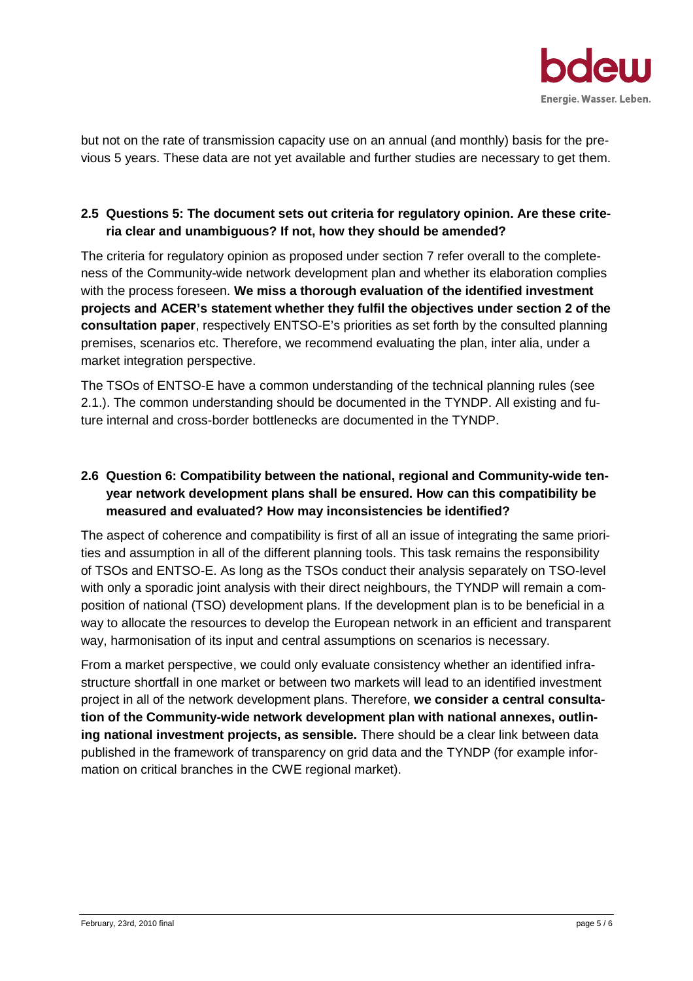

but not on the rate of transmission capacity use on an annual (and monthly) basis for the previous 5 years. These data are not yet available and further studies are necessary to get them.

# **2.5 Questions 5: The document sets out criteria for regulatory opinion. Are these criteria clear and unambiguous? If not, how they should be amended?**

The criteria for regulatory opinion as proposed under section 7 refer overall to the completeness of the Community-wide network development plan and whether its elaboration complies with the process foreseen. **We miss a thorough evaluation of the identified investment projects and ACER's statement whether they fulfil the objectives under section 2 of the consultation paper**, respectively ENTSO-E's priorities as set forth by the consulted planning premises, scenarios etc. Therefore, we recommend evaluating the plan, inter alia, under a market integration perspective.

The TSOs of ENTSO-E have a common understanding of the technical planning rules (see 2.1.). The common understanding should be documented in the TYNDP. All existing and future internal and cross-border bottlenecks are documented in the TYNDP.

# **2.6 Question 6: Compatibility between the national, regional and Community-wide tenyear network development plans shall be ensured. How can this compatibility be measured and evaluated? How may inconsistencies be identified?**

The aspect of coherence and compatibility is first of all an issue of integrating the same priorities and assumption in all of the different planning tools. This task remains the responsibility of TSOs and ENTSO-E. As long as the TSOs conduct their analysis separately on TSO-level with only a sporadic joint analysis with their direct neighbours, the TYNDP will remain a composition of national (TSO) development plans. If the development plan is to be beneficial in a way to allocate the resources to develop the European network in an efficient and transparent way, harmonisation of its input and central assumptions on scenarios is necessary.

From a market perspective, we could only evaluate consistency whether an identified infrastructure shortfall in one market or between two markets will lead to an identified investment project in all of the network development plans. Therefore, **we consider a central consultation of the Community-wide network development plan with national annexes, outlining national investment projects, as sensible.** There should be a clear link between data published in the framework of transparency on grid data and the TYNDP (for example information on critical branches in the CWE regional market).